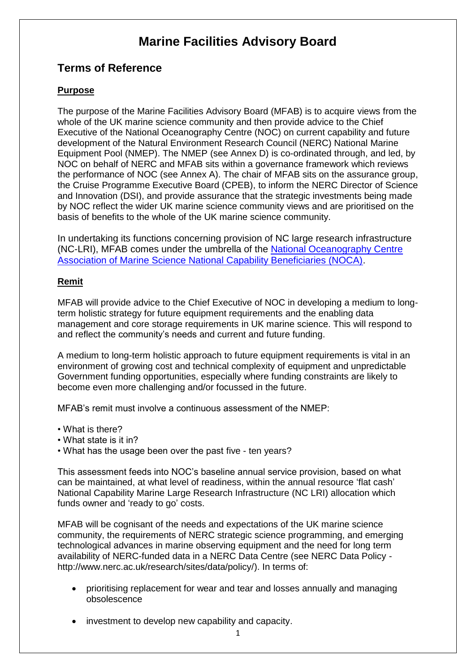# **Marine Facilities Advisory Board**

## **Terms of Reference**

## **Purpose**

The purpose of the Marine Facilities Advisory Board (MFAB) is to acquire views from the whole of the UK marine science community and then provide advice to the Chief Executive of the National Oceanography Centre (NOC) on current capability and future development of the Natural Environment Research Council (NERC) National Marine Equipment Pool (NMEP). The NMEP (see Annex D) is co-ordinated through, and led, by NOC on behalf of NERC and MFAB sits within a governance framework which reviews the performance of NOC (see Annex A). The chair of MFAB sits on the assurance group, the Cruise Programme Executive Board (CPEB), to inform the NERC Director of Science and Innovation (DSI), and provide assurance that the strategic investments being made by NOC reflect the wider UK marine science community views and are prioritised on the basis of benefits to the whole of the UK marine science community.

In undertaking its functions concerning provision of NC large research infrastructure (NC-LRI), MFAB comes under the umbrella of the [National Oceanography Centre](https://www.noc.ac.uk/partnerships/our-national-role/coordinating-uk-marine-science/noc-association)  [Association of Marine Science National Capability Beneficiaries \(NOCA\).](https://www.noc.ac.uk/partnerships/our-national-role/coordinating-uk-marine-science/noc-association)

#### **Remit**

MFAB will provide advice to the Chief Executive of NOC in developing a medium to longterm holistic strategy for future equipment requirements and the enabling data management and core storage requirements in UK marine science. This will respond to and reflect the community's needs and current and future funding.

A medium to long-term holistic approach to future equipment requirements is vital in an environment of growing cost and technical complexity of equipment and unpredictable Government funding opportunities, especially where funding constraints are likely to become even more challenging and/or focussed in the future.

MFAB's remit must involve a continuous assessment of the NMEP:

- What is there?
- What state is it in?
- What has the usage been over the past five ten years?

This assessment feeds into NOC's baseline annual service provision, based on what can be maintained, at what level of readiness, within the annual resource 'flat cash' National Capability Marine Large Research Infrastructure (NC LRI) allocation which funds owner and 'ready to go' costs.

MFAB will be cognisant of the needs and expectations of the UK marine science community, the requirements of NERC strategic science programming, and emerging technological advances in marine observing equipment and the need for long term availability of NERC-funded data in a NERC Data Centre (see NERC Data Policy http://www.nerc.ac.uk/research/sites/data/policy/). In terms of:

- prioritising replacement for wear and tear and losses annually and managing obsolescence
- investment to develop new capability and capacity.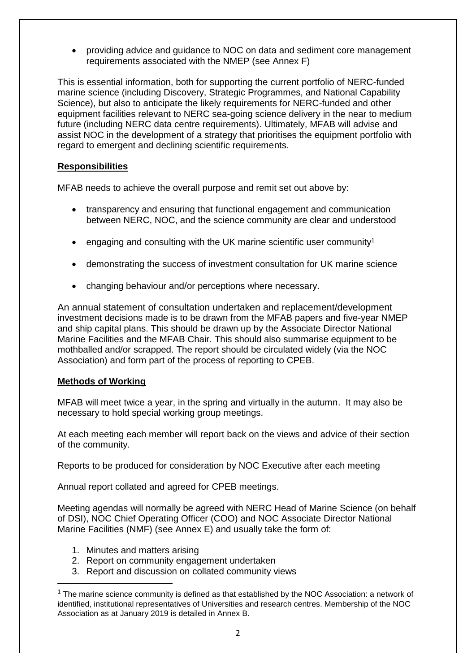• providing advice and guidance to NOC on data and sediment core management requirements associated with the NMEP (see Annex F)

This is essential information, both for supporting the current portfolio of NERC-funded marine science (including Discovery, Strategic Programmes, and National Capability Science), but also to anticipate the likely requirements for NERC-funded and other equipment facilities relevant to NERC sea-going science delivery in the near to medium future (including NERC data centre requirements). Ultimately, MFAB will advise and assist NOC in the development of a strategy that prioritises the equipment portfolio with regard to emergent and declining scientific requirements.

#### **Responsibilities**

MFAB needs to achieve the overall purpose and remit set out above by:

- transparency and ensuring that functional engagement and communication between NERC, NOC, and the science community are clear and understood
- engaging and consulting with the UK marine scientific user community<sup>1</sup>
- demonstrating the success of investment consultation for UK marine science
- changing behaviour and/or perceptions where necessary.

An annual statement of consultation undertaken and replacement/development investment decisions made is to be drawn from the MFAB papers and five-year NMEP and ship capital plans. This should be drawn up by the Associate Director National Marine Facilities and the MFAB Chair. This should also summarise equipment to be mothballed and/or scrapped. The report should be circulated widely (via the NOC Association) and form part of the process of reporting to CPEB.

#### **Methods of Working**

1

MFAB will meet twice a year, in the spring and virtually in the autumn. It may also be necessary to hold special working group meetings.

At each meeting each member will report back on the views and advice of their section of the community.

Reports to be produced for consideration by NOC Executive after each meeting

Annual report collated and agreed for CPEB meetings.

Meeting agendas will normally be agreed with NERC Head of Marine Science (on behalf of DSI), NOC Chief Operating Officer (COO) and NOC Associate Director National Marine Facilities (NMF) (see Annex E) and usually take the form of:

- 1. Minutes and matters arising
- 2. Report on community engagement undertaken
- 3. Report and discussion on collated community views

 $1$  The marine science community is defined as that established by the NOC Association: a network of identified, institutional representatives of Universities and research centres. Membership of the NOC Association as at January 2019 is detailed in Annex B.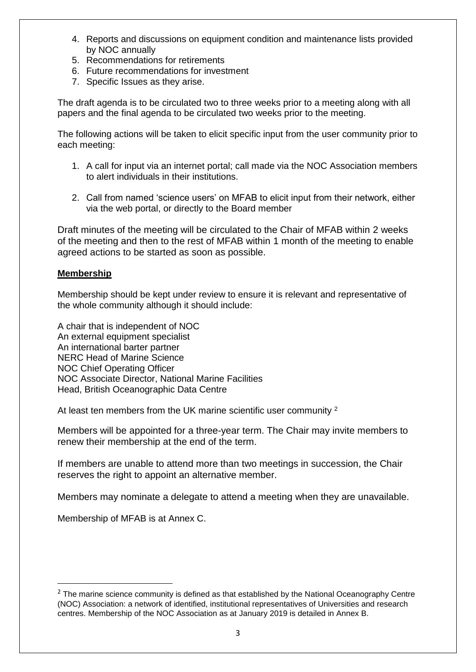- 4. Reports and discussions on equipment condition and maintenance lists provided by NOC annually
- 5. Recommendations for retirements
- 6. Future recommendations for investment
- 7. Specific Issues as they arise.

The draft agenda is to be circulated two to three weeks prior to a meeting along with all papers and the final agenda to be circulated two weeks prior to the meeting.

The following actions will be taken to elicit specific input from the user community prior to each meeting:

- 1. A call for input via an internet portal; call made via the NOC Association members to alert individuals in their institutions.
- 2. Call from named 'science users' on MFAB to elicit input from their network, either via the web portal, or directly to the Board member

Draft minutes of the meeting will be circulated to the Chair of MFAB within 2 weeks of the meeting and then to the rest of MFAB within 1 month of the meeting to enable agreed actions to be started as soon as possible.

#### **Membership**

Membership should be kept under review to ensure it is relevant and representative of the whole community although it should include:

A chair that is independent of NOC An external equipment specialist An international barter partner NERC Head of Marine Science NOC Chief Operating Officer NOC Associate Director, National Marine Facilities Head, British Oceanographic Data Centre

At least ten members from the UK marine scientific user community <sup>2</sup>

Members will be appointed for a three-year term. The Chair may invite members to renew their membership at the end of the term.

If members are unable to attend more than two meetings in succession, the Chair reserves the right to appoint an alternative member.

Members may nominate a delegate to attend a meeting when they are unavailable.

Membership of MFAB is at Annex C.

1

 $2$  The marine science community is defined as that established by the National Oceanography Centre (NOC) Association: a network of identified, institutional representatives of Universities and research centres. Membership of the NOC Association as at January 2019 is detailed in Annex B.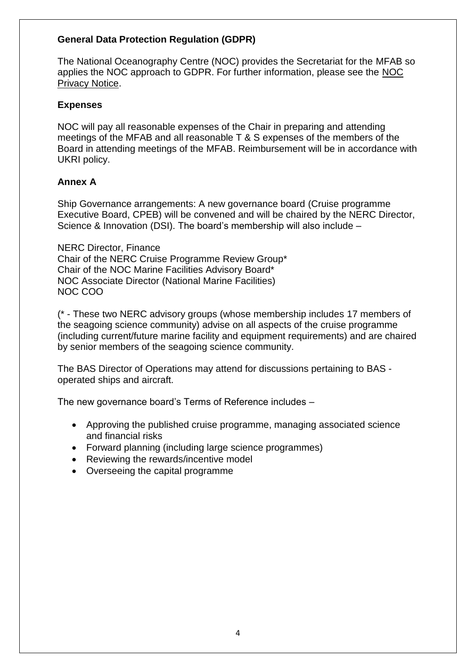## **General Data Protection Regulation (GDPR)**

The National Oceanography Centre (NOC) provides the Secretariat for the MFAB so applies the NOC approach to GDPR. For further information, please see the [NOC](https://noc.ac.uk/about-us/privacy-notice) [Privacy Notice.](https://noc.ac.uk/about-us/privacy-notice)

## **Expenses**

NOC will pay all reasonable expenses of the Chair in preparing and attending meetings of the MFAB and all reasonable T & S expenses of the members of the Board in attending meetings of the MFAB. Reimbursement will be in accordance with UKRI policy.

## **Annex A**

Ship Governance arrangements: A new governance board (Cruise programme Executive Board, CPEB) will be convened and will be chaired by the NERC Director, Science & Innovation (DSI). The board's membership will also include –

NERC Director, Finance Chair of the NERC Cruise Programme Review Group\* Chair of the NOC Marine Facilities Advisory Board\* NOC Associate Director (National Marine Facilities) NOC COO

(\* - These two NERC advisory groups (whose membership includes 17 members of the seagoing science community) advise on all aspects of the cruise programme (including current/future marine facility and equipment requirements) and are chaired by senior members of the seagoing science community.

The BAS Director of Operations may attend for discussions pertaining to BAS operated ships and aircraft.

The new governance board's Terms of Reference includes –

- Approving the published cruise programme, managing associated science and financial risks
- Forward planning (including large science programmes)
- Reviewing the rewards/incentive model
- Overseeing the capital programme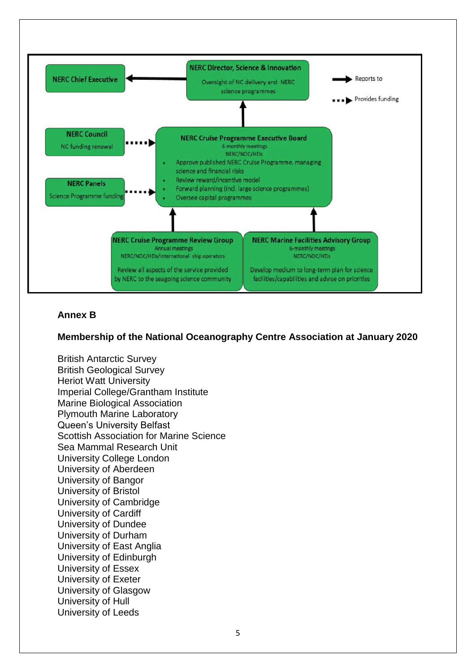

## **Annex B**

#### **Membership of the National Oceanography Centre Association at January 2020**

British Antarctic Survey British Geological Survey Heriot Watt University Imperial College/Grantham Institute Marine Biological Association Plymouth Marine Laboratory Queen's University Belfast Scottish Association for Marine Science Sea Mammal Research Unit University College London University of Aberdeen University of Bangor University of Bristol University of Cambridge University of Cardiff University of Dundee University of Durham University of East Anglia University of Edinburgh University of Essex University of Exeter University of Glasgow University of Hull University of Leeds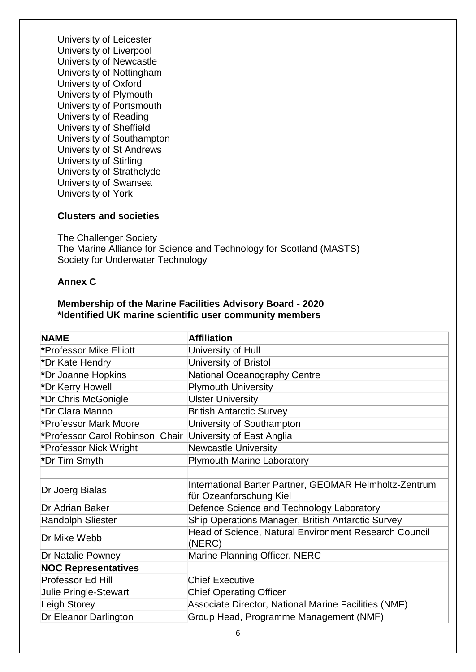University of Leicester University of Liverpool University of Newcastle University of Nottingham University of Oxford University of Plymouth University of Portsmouth University of Reading University of Sheffield University of Southampton University of St Andrews University of Stirling University of Strathclyde University of Swansea University of York

#### **Clusters and societies**

The Challenger Society The Marine Alliance for Science and Technology for Scotland (MASTS) Society for Underwater Technology

#### **Annex C**

#### **Membership of the Marine Facilities Advisory Board - 2020 \*Identified UK marine scientific user community members**

| <b>NAME</b>                                                | <b>Affiliation</b>                                              |
|------------------------------------------------------------|-----------------------------------------------------------------|
| *Professor Mike Elliott                                    | University of Hull                                              |
| *Dr Kate Hendry                                            | University of Bristol                                           |
| *Dr Joanne Hopkins                                         | National Oceanography Centre                                    |
| *Dr Kerry Howell                                           | <b>Plymouth University</b>                                      |
| *Dr Chris McGonigle                                        | <b>Ulster University</b>                                        |
| *Dr Clara Manno                                            | <b>British Antarctic Survey</b>                                 |
| *Professor Mark Moore                                      | University of Southampton                                       |
| *Professor Carol Robinson, Chair University of East Anglia |                                                                 |
| *Professor Nick Wright                                     | <b>Newcastle University</b>                                     |
| *Dr Tim Smyth                                              | <b>Plymouth Marine Laboratory</b>                               |
|                                                            |                                                                 |
| Dr Joerg Bialas                                            | International Barter Partner, GEOMAR Helmholtz-Zentrum          |
|                                                            | für Ozeanforschung Kiel                                         |
| Dr Adrian Baker                                            | Defence Science and Technology Laboratory                       |
| <b>Randolph Sliester</b>                                   | Ship Operations Manager, British Antarctic Survey               |
| Dr Mike Webb                                               | Head of Science, Natural Environment Research Council<br>(NERC) |
| <b>Dr Natalie Powney</b>                                   | Marine Planning Officer, NERC                                   |
| <b>NOC Representatives</b>                                 |                                                                 |
| <b>Professor Ed Hill</b>                                   | <b>Chief Executive</b>                                          |
| <b>Julie Pringle-Stewart</b>                               | <b>Chief Operating Officer</b>                                  |
| Leigh Storey                                               | Associate Director, National Marine Facilities (NMF)            |
| Dr Eleanor Darlington                                      | Group Head, Programme Management (NMF)                          |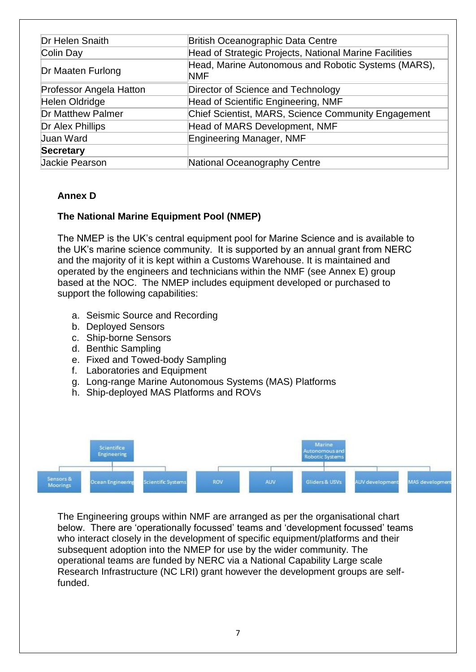| Dr Helen Snaith          | <b>British Oceanographic Data Centre</b>                          |
|--------------------------|-------------------------------------------------------------------|
| Colin Day                | Head of Strategic Projects, National Marine Facilities            |
| Dr Maaten Furlong        | Head, Marine Autonomous and Robotic Systems (MARS),<br><b>NMF</b> |
| Professor Angela Hatton  | Director of Science and Technology                                |
| Helen Oldridge           | Head of Scientific Engineering, NMF                               |
| <b>Dr Matthew Palmer</b> | Chief Scientist, MARS, Science Community Engagement               |
| Dr Alex Phillips         | Head of MARS Development, NMF                                     |
| Juan Ward                | Engineering Manager, NMF                                          |
| <b>Secretary</b>         |                                                                   |
| Jackie Pearson           | National Oceanography Centre                                      |

## **Annex D**

## **The National Marine Equipment Pool (NMEP)**

The NMEP is the UK's central equipment pool for Marine Science and is available to the UK's marine science community. It is supported by an annual grant from NERC and the majority of it is kept within a Customs Warehouse. It is maintained and operated by the engineers and technicians within the NMF (see Annex E) group based at the NOC. The NMEP includes equipment developed or purchased to support the following capabilities:

- a. Seismic Source and Recording
- b. Deployed Sensors
- c. Ship-borne Sensors
- d. Benthic Sampling
- e. Fixed and Towed-body Sampling
- f. Laboratories and Equipment
- g. Long-range Marine Autonomous Systems (MAS) Platforms
- h. Ship-deployed MAS Platforms and ROVs



The Engineering groups within NMF are arranged as per the organisational chart below. There are 'operationally focussed' teams and 'development focussed' teams who interact closely in the development of specific equipment/platforms and their subsequent adoption into the NMEP for use by the wider community. The operational teams are funded by NERC via a National Capability Large scale Research Infrastructure (NC LRI) grant however the development groups are selffunded.